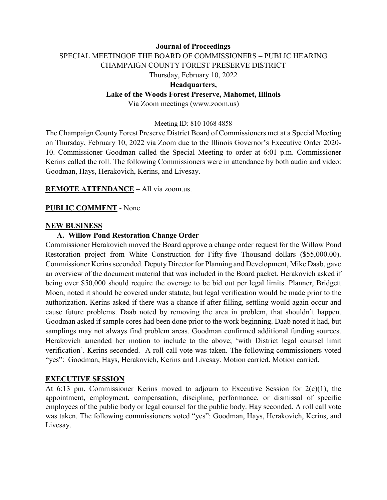# **Journal of Proceedings** SPECIAL MEETINGOF THE BOARD OF COMMISSIONERS – PUBLIC HEARING CHAMPAIGN COUNTY FOREST PRESERVE DISTRICT Thursday, February 10, 2022 **Headquarters, Lake of the Woods Forest Preserve, Mahomet, Illinois**

Via Zoom meetings (www.zoom.us)

#### Meeting ID: 810 1068 4858

The Champaign County Forest Preserve District Board of Commissioners met at a Special Meeting on Thursday, February 10, 2022 via Zoom due to the Illinois Governor's Executive Order 2020- 10. Commissioner Goodman called the Special Meeting to order at 6:01 p.m. Commissioner Kerins called the roll. The following Commissioners were in attendance by both audio and video: Goodman, Hays, Herakovich, Kerins, and Livesay.

**REMOTE ATTENDANCE** – All via zoom.us.

#### **PUBLIC COMMENT** - None

#### **NEW BUSINESS**

#### **A. Willow Pond Restoration Change Order**

Commissioner Herakovich moved the Board approve a change order request for the Willow Pond Restoration project from White Construction for Fifty-five Thousand dollars (\$55,000.00). Commissioner Kerins seconded. Deputy Director for Planning and Development, Mike Daab, gave an overview of the document material that was included in the Board packet. Herakovich asked if being over \$50,000 should require the overage to be bid out per legal limits. Planner, Bridgett Moen, noted it should be covered under statute, but legal verification would be made prior to the authorization. Kerins asked if there was a chance if after filling, settling would again occur and cause future problems. Daab noted by removing the area in problem, that shouldn't happen. Goodman asked if sample cores had been done prior to the work beginning. Daab noted it had, but samplings may not always find problem areas. Goodman confirmed additional funding sources. Herakovich amended her motion to include to the above; 'with District legal counsel limit verification'. Kerins seconded. A roll call vote was taken. The following commissioners voted "yes": Goodman, Hays, Herakovich, Kerins and Livesay. Motion carried. Motion carried.

#### **EXECUTIVE SESSION**

At 6:13 pm, Commissioner Kerins moved to adjourn to Executive Session for 2(c)(1), the appointment, employment, compensation, discipline, performance, or dismissal of specific employees of the public body or legal counsel for the public body. Hay seconded. A roll call vote was taken. The following commissioners voted "yes": Goodman, Hays, Herakovich, Kerins, and Livesay.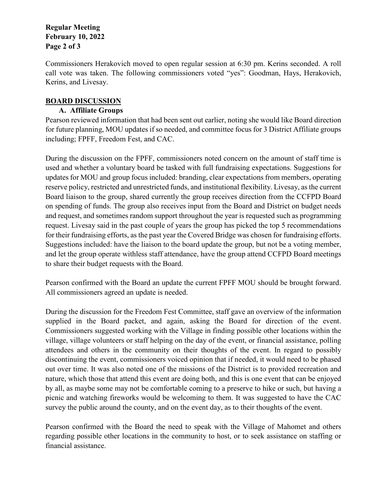#### **Regular Meeting February 10, 2022 Page 2 of 3**

Commissioners Herakovich moved to open regular session at 6:30 pm. Kerins seconded. A roll call vote was taken. The following commissioners voted "yes": Goodman, Hays, Herakovich, Kerins, and Livesay.

### **BOARD DISCUSSION**

### **A. Affiliate Groups**

Pearson reviewed information that had been sent out earlier, noting she would like Board direction for future planning, MOU updates if so needed, and committee focus for 3 District Affiliate groups including; FPFF, Freedom Fest, and CAC.

During the discussion on the FPFF, commissioners noted concern on the amount of staff time is used and whether a voluntary board be tasked with full fundraising expectations. Suggestions for updates for MOU and group focus included: branding, clear expectations from members, operating reserve policy, restricted and unrestricted funds, and institutional flexibility. Livesay, as the current Board liaison to the group, shared currently the group receives direction from the CCFPD Board on spending of funds. The group also receives input from the Board and District on budget needs and request, and sometimes random support throughout the year is requested such as programming request. Livesay said in the past couple of years the group has picked the top 5 recommendations for their fundraising efforts, as the past year the Covered Bridge was chosen for fundraising efforts. Suggestions included: have the liaison to the board update the group, but not be a voting member, and let the group operate withless staff attendance, have the group attend CCFPD Board meetings to share their budget requests with the Board.

Pearson confirmed with the Board an update the current FPFF MOU should be brought forward. All commissioners agreed an update is needed.

During the discussion for the Freedom Fest Committee, staff gave an overview of the information supplied in the Board packet, and again, asking the Board for direction of the event. Commissioners suggested working with the Village in finding possible other locations within the village, village volunteers or staff helping on the day of the event, or financial assistance, polling attendees and others in the community on their thoughts of the event. In regard to possibly discontinuing the event, commissioners voiced opinion that if needed, it would need to be phased out over time. It was also noted one of the missions of the District is to provided recreation and nature, which those that attend this event are doing both, and this is one event that can be enjoyed by all, as maybe some may not be comfortable coming to a preserve to hike or such, but having a picnic and watching fireworks would be welcoming to them. It was suggested to have the CAC survey the public around the county, and on the event day, as to their thoughts of the event.

Pearson confirmed with the Board the need to speak with the Village of Mahomet and others regarding possible other locations in the community to host, or to seek assistance on staffing or financial assistance.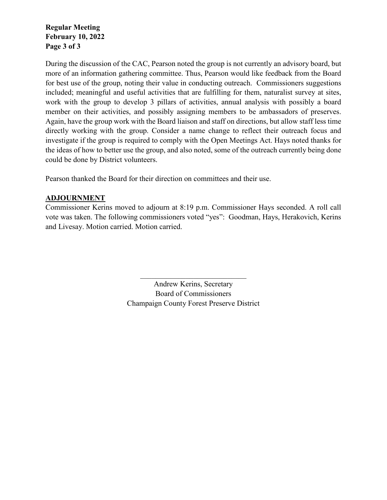**Regular Meeting February 10, 2022 Page 3 of 3**

During the discussion of the CAC, Pearson noted the group is not currently an advisory board, but more of an information gathering committee. Thus, Pearson would like feedback from the Board for best use of the group, noting their value in conducting outreach. Commissioners suggestions included; meaningful and useful activities that are fulfilling for them, naturalist survey at sites, work with the group to develop 3 pillars of activities, annual analysis with possibly a board member on their activities, and possibly assigning members to be ambassadors of preserves. Again, have the group work with the Board liaison and staff on directions, but allow staff less time directly working with the group. Consider a name change to reflect their outreach focus and investigate if the group is required to comply with the Open Meetings Act. Hays noted thanks for the ideas of how to better use the group, and also noted, some of the outreach currently being done could be done by District volunteers.

Pearson thanked the Board for their direction on committees and their use.

### **ADJOURNMENT**

Commissioner Kerins moved to adjourn at 8:19 p.m. Commissioner Hays seconded. A roll call vote was taken. The following commissioners voted "yes": Goodman, Hays, Herakovich, Kerins and Livesay. Motion carried. Motion carried.

> Andrew Kerins, Secretary Board of Commissioners Champaign County Forest Preserve District

 $\mathcal{L}_\mathcal{L}$  , which is a set of the set of the set of the set of the set of the set of the set of the set of the set of the set of the set of the set of the set of the set of the set of the set of the set of the set of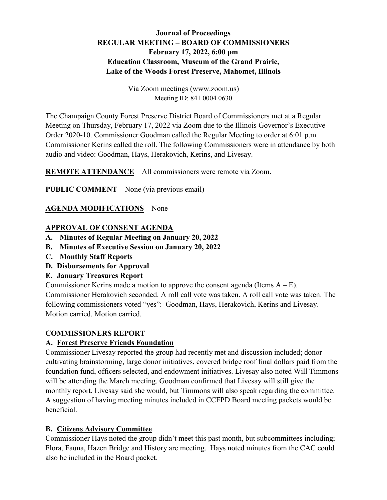# **Journal of Proceedings REGULAR MEETING – BOARD OF COMMISSIONERS February 17, 2022, 6:00 pm Education Classroom, Museum of the Grand Prairie, Lake of the Woods Forest Preserve, Mahomet, Illinois**

Via Zoom meetings (www.zoom.us) Meeting ID: 841 0004 0630

The Champaign County Forest Preserve District Board of Commissioners met at a Regular Meeting on Thursday, February 17, 2022 via Zoom due to the Illinois Governor's Executive Order 2020-10. Commissioner Goodman called the Regular Meeting to order at 6:01 p.m. Commissioner Kerins called the roll. The following Commissioners were in attendance by both audio and video: Goodman, Hays, Herakovich, Kerins, and Livesay.

**REMOTE ATTENDANCE** – All commissioners were remote via Zoom.

**PUBLIC COMMENT** – None (via previous email)

### **AGENDA MODIFICATIONS** – None

### **APPROVAL OF CONSENT AGENDA**

- **A. Minutes of Regular Meeting on January 20, 2022**
- **B. Minutes of Executive Session on January 20, 2022**
- **C. Monthly Staff Reports**
- **D. Disbursements for Approval**
- **E. January Treasures Report**

Commissioner Kerins made a motion to approve the consent agenda (Items  $A - E$ ). Commissioner Herakovich seconded. A roll call vote was taken. A roll call vote was taken. The following commissioners voted "yes": Goodman, Hays, Herakovich, Kerins and Livesay. Motion carried. Motion carried.

### **COMMISSIONERS REPORT**

## **A. Forest Preserve Friends Foundation**

Commissioner Livesay reported the group had recently met and discussion included; donor cultivating brainstorming, large donor initiatives, covered bridge roof final dollars paid from the foundation fund, officers selected, and endowment initiatives. Livesay also noted Will Timmons will be attending the March meeting. Goodman confirmed that Livesay will still give the monthly report. Livesay said she would, but Timmons will also speak regarding the committee. A suggestion of having meeting minutes included in CCFPD Board meeting packets would be beneficial.

### **B. Citizens Advisory Committee**

Commissioner Hays noted the group didn't meet this past month, but subcommittees including; Flora, Fauna, Hazen Bridge and History are meeting. Hays noted minutes from the CAC could also be included in the Board packet.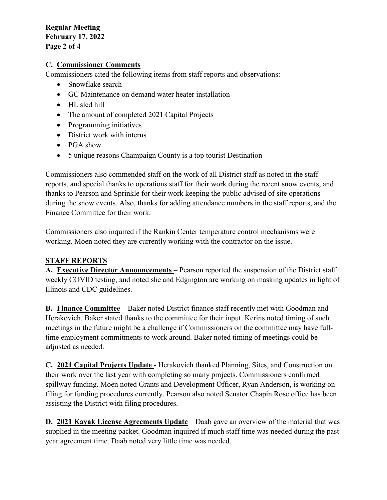#### **Regular Meeting February 17, 2022 Page 2 of 4**

#### **C. Commissioner Comments**

Commissioners cited the following items from staff reports and observations:

- Snowflake search
- GC Maintenance on demand water heater installation
- HL sled hill
- The amount of completed 2021 Capital Projects
- Programming initiatives
- District work with interns
- PGA show
- 5 unique reasons Champaign County is a top tourist Destination

Commissioners also commended staff on the work of all District staff as noted in the staff reports, and special thanks to operations staff for their work during the recent snow events, and thanks to Pearson and Sprinkle for their work keeping the public advised of site operations during the snow events. Also, thanks for adding attendance numbers in the staff reports, and the Finance Committee for their work.

Commissioners also inquired if the Rankin Center temperature control mechanisms were working. Moen noted they are currently working with the contractor on the issue.

### **STAFF REPORTS**

**A. Executive Director Announcements** – Pearson reported the suspension of the District staff weekly COVID testing, and noted she and Edgington are working on masking updates in light of Illinois and CDC guidelines.

**B. Finance Committee** – Baker noted District finance staff recently met with Goodman and Herakovich. Baker stated thanks to the committee for their input. Kerins noted timing of such meetings in the future might be a challenge if Commissioners on the committee may have fulltime employment commitments to work around. Baker noted timing of meetings could be adjusted as needed.

**C. 2021 Capital Projects Update** - Herakovich thanked Planning, Sites, and Construction on their work over the last year with completing so many projects. Commissioners confirmed spillway funding. Moen noted Grants and Development Officer, Ryan Anderson, is working on filing for funding procedures currently. Pearson also noted Senator Chapin Rose office has been assisting the District with filing procedures.

**D. 2021 Kayak License Agreements Update** – Daab gave an overview of the material that was supplied in the meeting packet. Goodman inquired if much staff time was needed during the past year agreement time. Daab noted very little time was needed.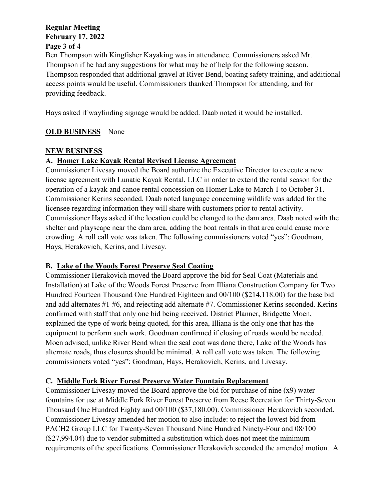#### **Regular Meeting February 17, 2022 Page 3 of 4**

Ben Thompson with Kingfisher Kayaking was in attendance. Commissioners asked Mr. Thompson if he had any suggestions for what may be of help for the following season. Thompson responded that additional gravel at River Bend, boating safety training, and additional access points would be useful. Commissioners thanked Thompson for attending, and for providing feedback.

Hays asked if wayfinding signage would be added. Daab noted it would be installed.

# **OLD BUSINESS** – None

# **NEW BUSINESS**

# **A. Homer Lake Kayak Rental Revised License Agreement**

Commissioner Livesay moved the Board authorize the Executive Director to execute a new license agreement with Lunatic Kayak Rental, LLC in order to extend the rental season for the operation of a kayak and canoe rental concession on Homer Lake to March 1 to October 31. Commissioner Kerins seconded. Daab noted language concerning wildlife was added for the licensee regarding information they will share with customers prior to rental activity. Commissioner Hays asked if the location could be changed to the dam area. Daab noted with the shelter and playscape near the dam area, adding the boat rentals in that area could cause more crowding. A roll call vote was taken. The following commissioners voted "yes": Goodman, Hays, Herakovich, Kerins, and Livesay.

# **B. Lake of the Woods Forest Preserve Seal Coating**

Commissioner Herakovich moved the Board approve the bid for Seal Coat (Materials and Installation) at Lake of the Woods Forest Preserve from Illiana Construction Company for Two Hundred Fourteen Thousand One Hundred Eighteen and 00/100 (\$214,118.00) for the base bid and add alternates #1-#6, and rejecting add alternate #7. Commissioner Kerins seconded. Kerins confirmed with staff that only one bid being received. District Planner, Bridgette Moen, explained the type of work being quoted, for this area, Illiana is the only one that has the equipment to perform such work. Goodman confirmed if closing of roads would be needed. Moen advised, unlike River Bend when the seal coat was done there, Lake of the Woods has alternate roads, thus closures should be minimal. A roll call vote was taken. The following commissioners voted "yes": Goodman, Hays, Herakovich, Kerins, and Livesay.

# **C. Middle Fork River Forest Preserve Water Fountain Replacement**

Commissioner Livesay moved the Board approve the bid for purchase of nine (x9) water fountains for use at Middle Fork River Forest Preserve from Reese Recreation for Thirty-Seven Thousand One Hundred Eighty and 00/100 (\$37,180.00). Commissioner Herakovich seconded. Commissioner Livesay amended her motion to also include: to reject the lowest bid from PACH2 Group LLC for Twenty-Seven Thousand Nine Hundred Ninety-Four and 08/100 (\$27,994.04) due to vendor submitted a substitution which does not meet the minimum requirements of the specifications. Commissioner Herakovich seconded the amended motion. A